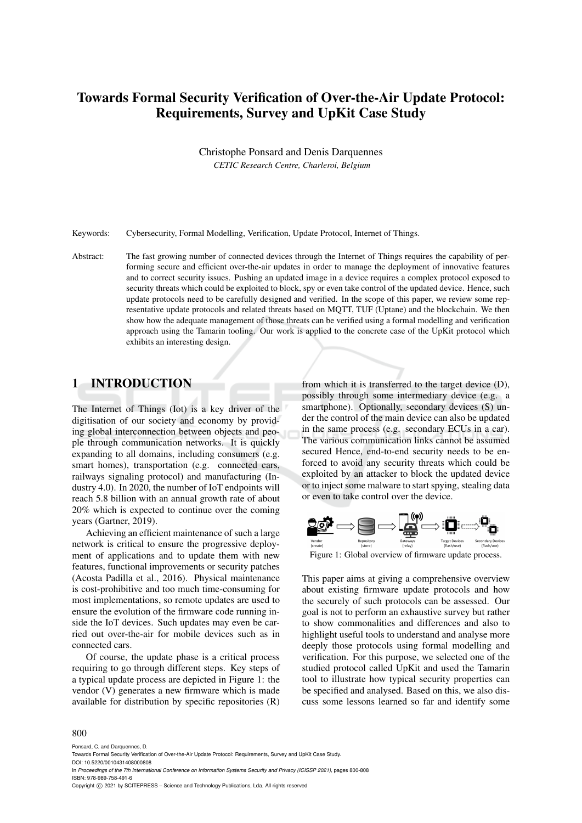# Towards Formal Security Verification of Over-the-Air Update Protocol: Requirements, Survey and UpKit Case Study

Christophe Ponsard and Denis Darquennes

*CETIC Research Centre, Charleroi, Belgium*

Keywords: Cybersecurity, Formal Modelling, Verification, Update Protocol, Internet of Things.

Abstract: The fast growing number of connected devices through the Internet of Things requires the capability of performing secure and efficient over-the-air updates in order to manage the deployment of innovative features and to correct security issues. Pushing an updated image in a device requires a complex protocol exposed to security threats which could be exploited to block, spy or even take control of the updated device. Hence, such update protocols need to be carefully designed and verified. In the scope of this paper, we review some representative update protocols and related threats based on MQTT, TUF (Uptane) and the blockchain. We then show how the adequate management of those threats can be verified using a formal modelling and verification approach using the Tamarin tooling. Our work is applied to the concrete case of the UpKit protocol which exhibits an interesting design.

# 1 INTRODUCTION

The Internet of Things (Iot) is a key driver of the digitisation of our society and economy by providing global interconnection between objects and people through communication networks. It is quickly expanding to all domains, including consumers (e.g. smart homes), transportation (e.g. connected cars, railways signaling protocol) and manufacturing (Industry 4.0). In 2020, the number of IoT endpoints will reach 5.8 billion with an annual growth rate of about 20% which is expected to continue over the coming years (Gartner, 2019).

Achieving an efficient maintenance of such a large network is critical to ensure the progressive deployment of applications and to update them with new features, functional improvements or security patches (Acosta Padilla et al., 2016). Physical maintenance is cost-prohibitive and too much time-consuming for most implementations, so remote updates are used to ensure the evolution of the firmware code running inside the IoT devices. Such updates may even be carried out over-the-air for mobile devices such as in connected cars.

Of course, the update phase is a critical process requiring to go through different steps. Key steps of a typical update process are depicted in Figure 1: the vendor (V) generates a new firmware which is made available for distribution by specific repositories (R)

from which it is transferred to the target device (D), possibly through some intermediary device (e.g. a smartphone). Optionally, secondary devices (S) under the control of the main device can also be updated in the same process (e.g. secondary ECUs in a car). The various communication links cannot be assumed secured Hence, end-to-end security needs to be enforced to avoid any security threats which could be exploited by an attacker to block the updated device or to inject some malware to start spying, stealing data or even to take control over the device.



Figure 1: Global overview of firmware update process.

This paper aims at giving a comprehensive overview about existing firmware update protocols and how the securely of such protocols can be assessed. Our goal is not to perform an exhaustive survey but rather to show commonalities and differences and also to highlight useful tools to understand and analyse more deeply those protocols using formal modelling and verification. For this purpose, we selected one of the studied protocol called UpKit and used the Tamarin tool to illustrate how typical security properties can be specified and analysed. Based on this, we also discuss some lessons learned so far and identify some

#### 800

Ponsard, C. and Darquennes, D.

Towards Formal Security Verification of Over-the-Air Update Protocol: Requirements, Survey and UpKit Case Study.

DOI: 10.5220/0010431408000808

In *Proceedings of the 7th International Conference on Information Systems Security and Privacy (ICISSP 2021)*, pages 800-808 ISBN: 978-989-758-491-6

Copyright (C) 2021 by SCITEPRESS - Science and Technology Publications, Lda. All rights reserved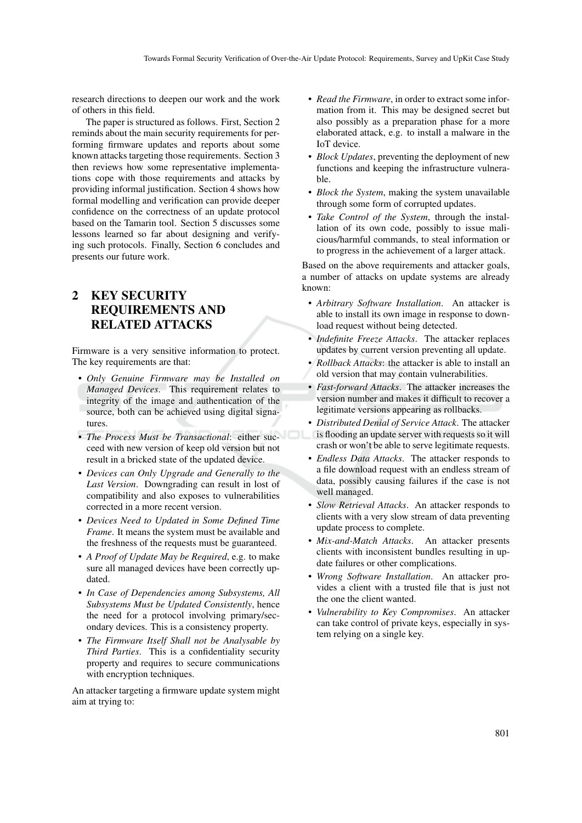research directions to deepen our work and the work of others in this field.

The paper is structured as follows. First, Section 2 reminds about the main security requirements for performing firmware updates and reports about some known attacks targeting those requirements. Section 3 then reviews how some representative implementations cope with those requirements and attacks by providing informal justification. Section 4 shows how formal modelling and verification can provide deeper confidence on the correctness of an update protocol based on the Tamarin tool. Section 5 discusses some lessons learned so far about designing and verifying such protocols. Finally, Section 6 concludes and presents our future work.

# 2 KEY SECURITY REQUIREMENTS AND RELATED ATTACKS

Firmware is a very sensitive information to protect. The key requirements are that:

- *Only Genuine Firmware may be Installed on Managed Devices*. This requirement relates to integrity of the image and authentication of the source, both can be achieved using digital signatures.
- *The Process Must be Transactional*: either succeed with new version of keep old version but not result in a bricked state of the updated device.
- *Devices can Only Upgrade and Generally to the Last Version*. Downgrading can result in lost of compatibility and also exposes to vulnerabilities corrected in a more recent version.
- *Devices Need to Updated in Some Defined Time Frame*. It means the system must be available and the freshness of the requests must be guaranteed.
- *A Proof of Update May be Required*, e.g. to make sure all managed devices have been correctly updated.
- *In Case of Dependencies among Subsystems, All Subsystems Must be Updated Consistently*, hence the need for a protocol involving primary/secondary devices. This is a consistency property.
- *The Firmware Itself Shall not be Analysable by Third Parties*. This is a confidentiality security property and requires to secure communications with encryption techniques.

An attacker targeting a firmware update system might aim at trying to:

- *Read the Firmware*, in order to extract some information from it. This may be designed secret but also possibly as a preparation phase for a more elaborated attack, e.g. to install a malware in the IoT device.
- *Block Updates*, preventing the deployment of new functions and keeping the infrastructure vulnerable.
- *Block the System*, making the system unavailable through some form of corrupted updates.
- *Take Control of the System*, through the installation of its own code, possibly to issue malicious/harmful commands, to steal information or to progress in the achievement of a larger attack.

Based on the above requirements and attacker goals, a number of attacks on update systems are already known:

- *Arbitrary Software Installation*. An attacker is able to install its own image in response to download request without being detected.
- *Indefinite Freeze Attacks*. The attacker replaces updates by current version preventing all update.
- *Rollback Attacks*: the attacker is able to install an old version that may contain vulnerabilities.
- *Fast-forward Attacks*. The attacker increases the version number and makes it difficult to recover a legitimate versions appearing as rollbacks.
- *Distributed Denial of Service Attack*. The attacker is flooding an update server with requests so it will crash or won't be able to serve legitimate requests.
- *Endless Data Attacks*. The attacker responds to a file download request with an endless stream of data, possibly causing failures if the case is not well managed.
- *Slow Retrieval Attacks*. An attacker responds to clients with a very slow stream of data preventing update process to complete.
- *Mix-and-Match Attacks*. An attacker presents clients with inconsistent bundles resulting in update failures or other complications.
- *Wrong Software Installation*. An attacker provides a client with a trusted file that is just not the one the client wanted.
- *Vulnerability to Key Compromises*. An attacker can take control of private keys, especially in system relying on a single key.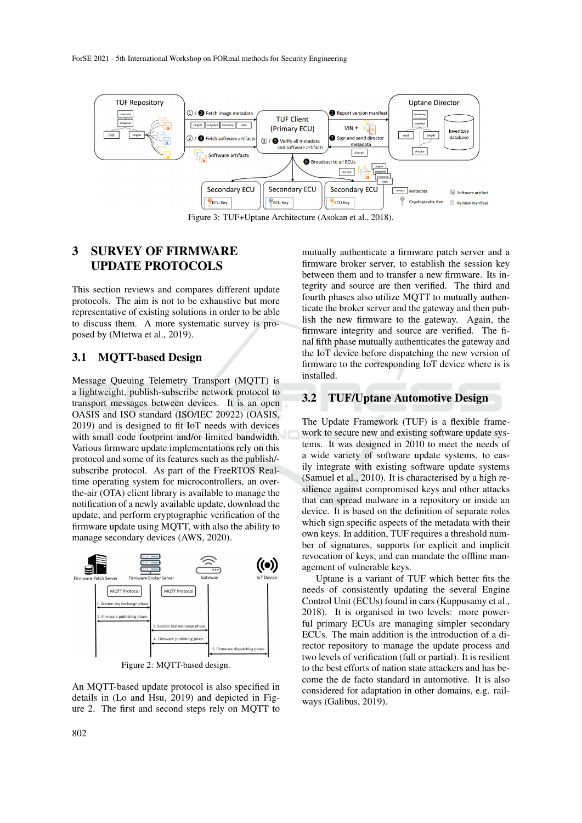

Figure 3: TUF+Uptane Architecture (Asokan et al., 2018).

# 3 SURVEY OF FIRMWARE UPDATE PROTOCOLS

This section reviews and compares different update protocols. The aim is not to be exhaustive but more representative of existing solutions in order to be able to discuss them. A more systematic survey is proposed by (Mtetwa et al., 2019).

#### 3.1 MQTT-based Design

Message Queuing Telemetry Transport (MQTT) is a lightweight, publish-subscribe network protocol to transport messages between devices. It is an open OASIS and ISO standard (ISO/IEC 20922) (OASIS, 2019) and is designed to fit IoT needs with devices with small code footprint and/or limited bandwidth. Various firmware update implementations rely on this protocol and some of its features such as the publish/ subscribe protocol. As part of the FreeRTOS Realtime operating system for microcontrollers, an overthe-air (OTA) client library is available to manage the notification of a newly available update, download the update, and perform cryptographic verification of the firmware update using MQTT, with also the ability to manage secondary devices (AWS, 2020).



Figure 2: MQTT-based design.

An MQTT-based update protocol is also specified in details in (Lo and Hsu, 2019) and depicted in Figure 2. The first and second steps rely on MQTT to

mutually authenticate a firmware patch server and a firmware broker server, to establish the session key between them and to transfer a new firmware. Its integrity and source are then verified. The third and fourth phases also utilize MQTT to mutually authenticate the broker server and the gateway and then publish the new firmware to the gateway. Again, the firmware integrity and source are verified. The final fifth phase mutually authenticates the gateway and the IoT device before dispatching the new version of firmware to the corresponding IoT device where is is installed.

#### 3.2 TUF/Uptane Automotive Design

The Update Framework (TUF) is a flexible framework to secure new and existing software update systems. It was designed in 2010 to meet the needs of a wide variety of software update systems, to easily integrate with existing software update systems (Samuel et al., 2010). It is characterised by a high resilience against compromised keys and other attacks that can spread malware in a repository or inside an device. It is based on the definition of separate roles which sign specific aspects of the metadata with their own keys. In addition, TUF requires a threshold number of signatures, supports for explicit and implicit revocation of keys, and can mandate the offline management of vulnerable keys.

Uptane is a variant of TUF which better fits the needs of consistently updating the several Engine Control Unit (ECUs) found in cars (Kuppusamy et al., 2018). It is organised in two levels: more powerful primary ECUs are managing simpler secondary ECUs. The main addition is the introduction of a director repository to manage the update process and two levels of verification (full or partial). It is resilient to the best efforts of nation state attackers and has become the de facto standard in automotive. It is also considered for adaptation in other domains, e.g. railways (Galibus, 2019).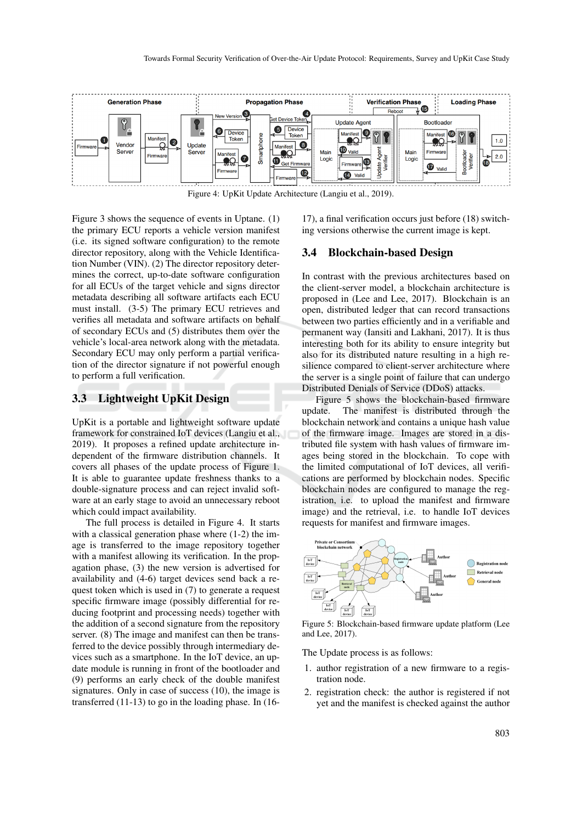

Figure 4: UpKit Update Architecture (Langiu et al., 2019).

Figure 3 shows the sequence of events in Uptane. (1) the primary ECU reports a vehicle version manifest (i.e. its signed software configuration) to the remote director repository, along with the Vehicle Identification Number (VIN). (2) The director repository determines the correct, up-to-date software configuration for all ECUs of the target vehicle and signs director metadata describing all software artifacts each ECU must install. (3-5) The primary ECU retrieves and verifies all metadata and software artifacts on behalf of secondary ECUs and (5) distributes them over the vehicle's local-area network along with the metadata. Secondary ECU may only perform a partial verification of the director signature if not powerful enough to perform a full verification.

#### 3.3 Lightweight UpKit Design

UpKit is a portable and lightweight software update framework for constrained IoT devices (Langiu et al., 2019). It proposes a refined update architecture independent of the firmware distribution channels. It covers all phases of the update process of Figure 1. It is able to guarantee update freshness thanks to a double-signature process and can reject invalid software at an early stage to avoid an unnecessary reboot which could impact availability.

The full process is detailed in Figure 4. It starts with a classical generation phase where  $(1-2)$  the image is transferred to the image repository together with a manifest allowing its verification. In the propagation phase, (3) the new version is advertised for availability and (4-6) target devices send back a request token which is used in (7) to generate a request specific firmware image (possibly differential for reducing footprint and processing needs) together with the addition of a second signature from the repository server. (8) The image and manifest can then be transferred to the device possibly through intermediary devices such as a smartphone. In the IoT device, an update module is running in front of the bootloader and (9) performs an early check of the double manifest signatures. Only in case of success (10), the image is transferred (11-13) to go in the loading phase. In (16-

17), a final verification occurs just before (18) switching versions otherwise the current image is kept.

#### 3.4 Blockchain-based Design

In contrast with the previous architectures based on the client-server model, a blockchain architecture is proposed in (Lee and Lee, 2017). Blockchain is an open, distributed ledger that can record transactions between two parties efficiently and in a verifiable and permanent way (Iansiti and Lakhani, 2017). It is thus interesting both for its ability to ensure integrity but also for its distributed nature resulting in a high resilience compared to client-server architecture where the server is a single point of failure that can undergo Distributed Denials of Service (DDoS) attacks.

Figure 5 shows the blockchain-based firmware update. The manifest is distributed through the blockchain network and contains a unique hash value of the firmware image. Images are stored in a distributed file system with hash values of firmware images being stored in the blockchain. To cope with the limited computational of IoT devices, all verifications are performed by blockchain nodes. Specific blockchain nodes are configured to manage the registration, i.e. to upload the manifest and firmware image) and the retrieval, i.e. to handle IoT devices requests for manifest and firmware images.



Figure 5: Blockchain-based firmware update platform (Lee and Lee, 2017).

The Update process is as follows:

- 1. author registration of a new firmware to a registration node.
- 2. registration check: the author is registered if not yet and the manifest is checked against the author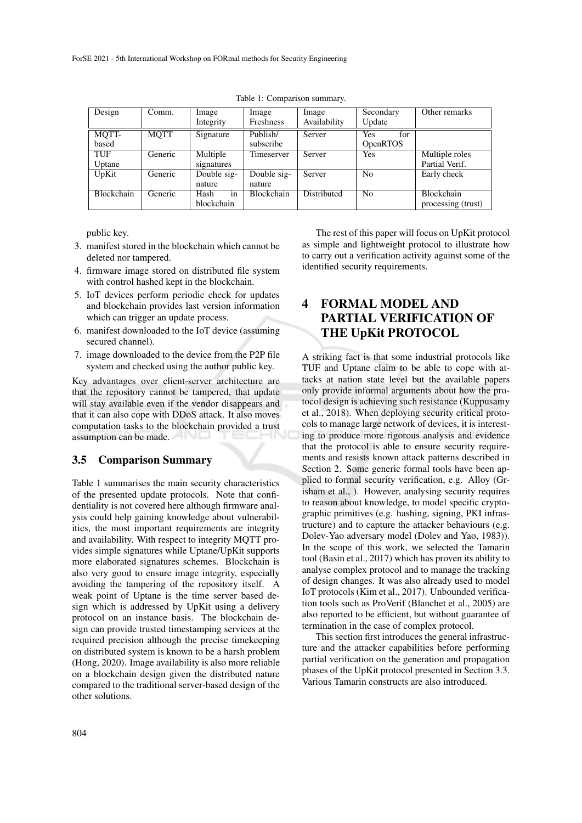| Design            | Comm.   | Image       | Image             | Image        | Secondary       | Other remarks      |
|-------------------|---------|-------------|-------------------|--------------|-----------------|--------------------|
|                   |         | Integrity   | Freshness         | Availability | Update          |                    |
| MQTT-             | MOTT    | Signature   | Publish/          | Server       | for<br>Yes      |                    |
| based             |         |             | subscribe         |              | <b>OpenRTOS</b> |                    |
| TUF               | Generic | Multiple    | Timeserver        | Server       | <b>Yes</b>      | Multiple roles     |
| Uptane            |         | signatures  |                   |              |                 | Partial Verif.     |
| UpKit             | Generic | Double sig- | Double sig-       | Server       | No              | Early check        |
|                   |         | nature      | nature            |              |                 |                    |
| <b>Blockchain</b> | Generic | Hash<br>in  | <b>Blockchain</b> | Distributed  | N <sub>0</sub>  | Blockchain         |
|                   |         | blockchain  |                   |              |                 | processing (trust) |

Table 1: Comparison summary.

public key.

- 3. manifest stored in the blockchain which cannot be deleted nor tampered.
- 4. firmware image stored on distributed file system with control hashed kept in the blockchain.
- 5. IoT devices perform periodic check for updates and blockchain provides last version information which can trigger an update process.
- 6. manifest downloaded to the IoT device (assuming secured channel).
- 7. image downloaded to the device from the P2P file system and checked using the author public key.

Key advantages over client-server architecture are that the repository cannot be tampered, that update will stay available even if the vendor disappears and that it can also cope with DDoS attack. It also moves computation tasks to the blockchain provided a trust assumption can be made.

#### 3.5 Comparison Summary

Table 1 summarises the main security characteristics of the presented update protocols. Note that confidentiality is not covered here although firmware analysis could help gaining knowledge about vulnerabilities, the most important requirements are integrity and availability. With respect to integrity MQTT provides simple signatures while Uptane/UpKit supports more elaborated signatures schemes. Blockchain is also very good to ensure image integrity, especially avoiding the tampering of the repository itself. A weak point of Uptane is the time server based design which is addressed by UpKit using a delivery protocol on an instance basis. The blockchain design can provide trusted timestamping services at the required precision although the precise timekeeping on distributed system is known to be a harsh problem (Hong, 2020). Image availability is also more reliable on a blockchain design given the distributed nature compared to the traditional server-based design of the other solutions.

The rest of this paper will focus on UpKit protocol as simple and lightweight protocol to illustrate how to carry out a verification activity against some of the identified security requirements.

# 4 FORMAL MODEL AND PARTIAL VERIFICATION OF THE UpKit PROTOCOL

A striking fact is that some industrial protocols like TUF and Uptane claim to be able to cope with attacks at nation state level but the available papers only provide informal arguments about how the protocol design is achieving such resistance (Kuppusamy et al., 2018). When deploying security critical protocols to manage large network of devices, it is interesting to produce more rigorous analysis and evidence that the protocol is able to ensure security requirements and resists known attack patterns described in Section 2. Some generic formal tools have been applied to formal security verification, e.g. Alloy (Grisham et al., ). However, analysing security requires to reason about knowledge, to model specific cryptographic primitives (e.g. hashing, signing, PKI infrastructure) and to capture the attacker behaviours (e.g. Dolev-Yao adversary model (Dolev and Yao, 1983)). In the scope of this work, we selected the Tamarin tool (Basin et al., 2017) which has proven its ability to analyse complex protocol and to manage the tracking of design changes. It was also already used to model IoT protocols (Kim et al., 2017). Unbounded verification tools such as ProVerif (Blanchet et al., 2005) are also reported to be efficient, but without guarantee of termination in the case of complex protocol.

This section first introduces the general infrastructure and the attacker capabilities before performing partial verification on the generation and propagation phases of the UpKit protocol presented in Section 3.3. Various Tamarin constructs are also introduced.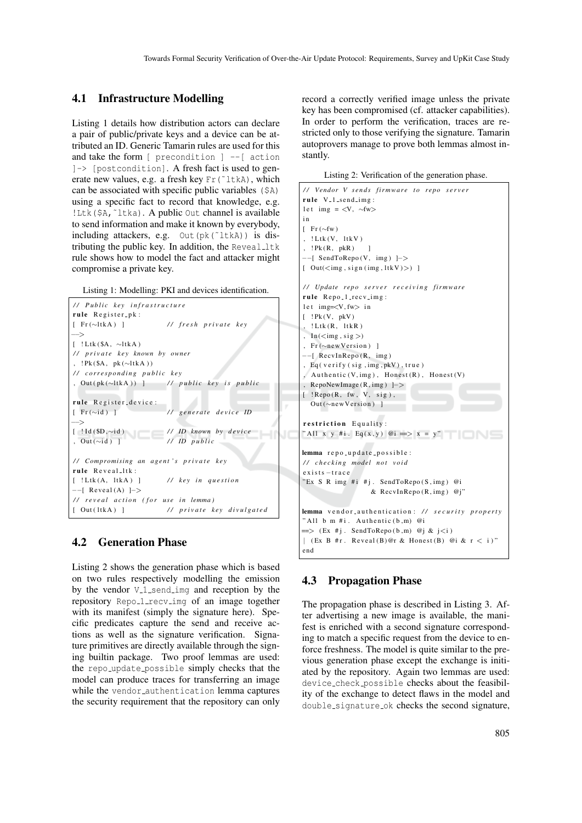### 4.1 Infrastructure Modelling

Listing 1 details how distribution actors can declare a pair of public/private keys and a device can be attributed an ID. Generic Tamarin rules are used for this and take the form  $\lceil$  precondition  $\rceil$  -- $\lceil$  action ]-> [postcondition]. A fresh fact is used to generate new values, e.g. a fresh key Fr (~1tkA), which can be associated with specific public variables (\$A) using a specific fact to record that knowledge, e.g. !Ltk(\$A,˜ltka). A public Out channel is available to send information and make it known by everybody, including attackers, e.g.  $Out(pk("ltkA))$  is distributing the public key. In addition, the  $Reveal_l$ rule shows how to model the fact and attacker might compromise a private key.

Listing 1: Modelling: PKI and devices identification.

```
/ / P u b l i c k e y i n f r a s t r u c t u r e
rule Register<sub>-P</sub>k:
[ F r (∼lt k A ) ] / / f r e s h p r i v a t e k e y
 −−>
[ ! Ltk ($A, ~ltkA)
/ / p r i v a t e k e y known by owner
, ! Pk ($A, pk (∼ltkA))
/ / c o r r e s p o n d i n g p u b l i c k e y
, Out ( pk (∼lt k A ) ) ] / / p u b l i c k e y i s p u b l i c
rule Register_device:
[ F r (∼i d ) ] / / g e n e r a t e d e v i c e ID
−−>
[ ! I d ( $D ,∼i d ) / / ID known by d e v i c e
, Out (∼i d ) ] / / ID p u b l i c
/ / Compromising an a g e nt ' s p r i v a t e k e y
rule Reveal_ltk:
[ ! Ltk (A, 1tk A) ] // key in question
−−[ Reveal (A) ]->
// reveal action (for use in lemma)
[ Out(lt k A) ] // private key divulgated
```
#### 4.2 Generation Phase

Listing 2 shows the generation phase which is based on two rules respectively modelling the emission by the vendor  $V_{\text{-1-send\_img}}$  and reception by the repository Repo<sub>-1-recv-imq</sub> of an image together with its manifest (simply the signature here). Specific predicates capture the send and receive actions as well as the signature verification. Signature primitives are directly available through the signing builtin package. Two proof lemmas are used: the repo update possible simply checks that the model can produce traces for transferring an image while the vendor\_authentication lemma captures the security requirement that the repository can only

record a correctly verified image unless the private key has been compromised (cf. attacker capabilities). In order to perform the verification, traces are restricted only to those verifying the signature. Tamarin autoprovers manage to prove both lemmas almost instantly.

Listing 2: Verification of the generation phase.

```
/ / Vendor V s e n d s fi r mw a r e t o r e p o s e r v e r
rule V_{-}1 send img:
let img = \langle V, \sim f_{w} \ranglei n
\lceil Fr (∼fw)
, ! Ltk (V, 1tk V)
, ! Pk (R, pkR) ]
−−[ SendToRepo (V, img ) ]−>
[ Out(<img, sign (img, 1tkV)>)]
/ / Update r e p o s e r v e r r e c e i v i n g fi r mw a r e
rule Repo<sub>-1-recv-img</sub>:
let img=<V, fw> in[ ! Pk(V, pkV), ! Ltk (R, 1tkR)
, In(<\text{img }, sig >), Fr (∼new Version) ]
−−[ Recv InRepo (R , img )
, Eq ( verify (sig, img, pkV), true)
, Authentic (V, img), Honest (R), Honest (V), RepoNewImage (R , img ) ]−>
[ ! Repo (R, fw, V, sig),
  Out (~new Version) ]
restriction Equality:
" All x \, y \, \#i. Eq(x, y) @i \implies x = y"
lemma repo_update_possible :
/ / c h e c ki n g model n ot v oi d
exists -trace"Ex S R img #i #j. SendToRepo (S, img) @i
                   & RecvInRepo (R, \text{img}) @j"
lemma vendor_authentication: // security property
" All b m \#i. Authentic (b,m) @i
\implies (Ex #j. SendToRepo (b,m) @j & j<i)
| (Ex B # r. Reveal (B) @ r & Honest (B) @ i & r < i)"
end
```
#### 4.3 Propagation Phase

The propagation phase is described in Listing 3. After advertising a new image is available, the manifest is enriched with a second signature corresponding to match a specific request from the device to enforce freshness. The model is quite similar to the previous generation phase except the exchange is initiated by the repository. Again two lemmas are used: device check possible checks about the feasibility of the exchange to detect flaws in the model and double signature ok checks the second signature,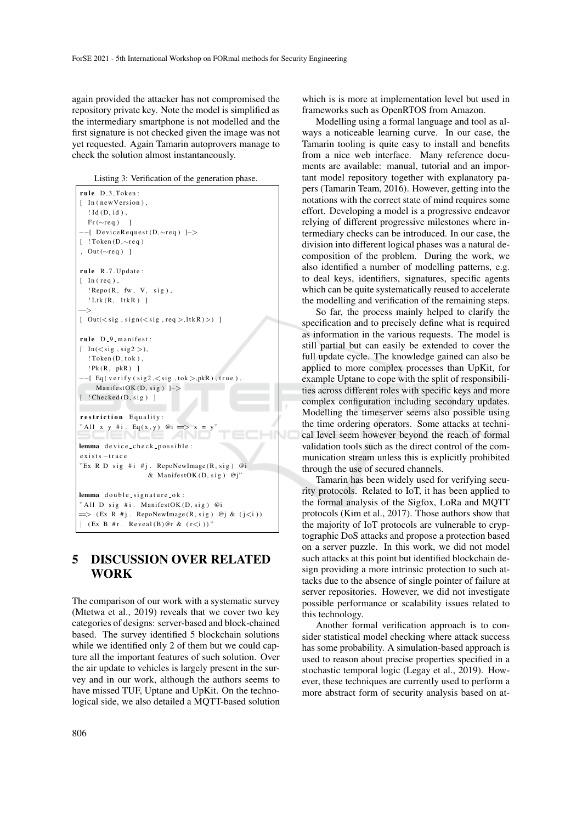again provided the attacker has not compromised the repository private key. Note the model is simplified as the intermediary smartphone is not modelled and the first signature is not checked given the image was not yet requested. Again Tamarin autoprovers manage to check the solution almost instantaneously.

Listing 3: Verification of the generation phase.

| rule D <sub>-3-Token:</sub>                                           |  |  |  |  |  |
|-----------------------------------------------------------------------|--|--|--|--|--|
| [ In (new Version),                                                   |  |  |  |  |  |
| $! \text{Id}$ (D, id),                                                |  |  |  |  |  |
| $Fr(\sim r e q)$ ]                                                    |  |  |  |  |  |
| $--$ [DeviceRequest(D, $\sim$ req) ]->                                |  |  |  |  |  |
| [ $! \text{Token}(D, \sim \text{req})$                                |  |  |  |  |  |
| , Out $(\sim$ req) ]                                                  |  |  |  |  |  |
|                                                                       |  |  |  |  |  |
| rule R <sub>-7</sub> -Update:                                         |  |  |  |  |  |
| $[$ In (req),                                                         |  |  |  |  |  |
| $!$ Repo $(R, fw, V, sig)$ ,                                          |  |  |  |  |  |
| $!$ Ltk $(R, 1$ tk $R)$ ]                                             |  |  |  |  |  |
|                                                                       |  |  |  |  |  |
| [ $Out(<$ sig, $sign(<$ sig, $req$ ), $ltkR$ $)$ ) ]                  |  |  |  |  |  |
|                                                                       |  |  |  |  |  |
| rule D <sub>-9-manifest:</sub>                                        |  |  |  |  |  |
| $[$ In( $<$ sig, sig2 >),                                             |  |  |  |  |  |
| $! \textsf{Token}(D, \textsf{tok})$ ,                                 |  |  |  |  |  |
| PR(R, pkR)                                                            |  |  |  |  |  |
| $--[$ Eq(verify(sig2, $\lt$ sig, tok $>$ , pkR), true),               |  |  |  |  |  |
| ManifestOK(D, sig) $\rightarrow$                                      |  |  |  |  |  |
| $[$ ! Checked $(D, sig)$ ]                                            |  |  |  |  |  |
|                                                                       |  |  |  |  |  |
| restriction Equality:                                                 |  |  |  |  |  |
| "All x y #i. Eq(x,y) @i => x =                                        |  |  |  |  |  |
|                                                                       |  |  |  |  |  |
| lemma device_check_possible:                                          |  |  |  |  |  |
| $exists -trace$                                                       |  |  |  |  |  |
|                                                                       |  |  |  |  |  |
| "Ex R D sig #i #j. RepoNewImage $(R, sig)$ @i                         |  |  |  |  |  |
| & ManifestOK(D, sig) @j"                                              |  |  |  |  |  |
| lemma double_signature_ok:                                            |  |  |  |  |  |
| "All D sig #i. ManifestOK(D, sig) @i                                  |  |  |  |  |  |
| $\implies$ (Ex R #j. RepoNewImage(R, sig) @j & (j <i))< td=""></i))<> |  |  |  |  |  |
|                                                                       |  |  |  |  |  |
| $(Ex B #r. Reveal(B)@r & (r < i))$ "                                  |  |  |  |  |  |

# 5 DISCUSSION OVER RELATED WORK

The comparison of our work with a systematic survey (Mtetwa et al., 2019) reveals that we cover two key categories of designs: server-based and block-chained based. The survey identified 5 blockchain solutions while we identified only 2 of them but we could capture all the important features of such solution. Over the air update to vehicles is largely present in the survey and in our work, although the authors seems to have missed TUF, Uptane and UpKit. On the technological side, we also detailed a MQTT-based solution

which is is more at implementation level but used in frameworks such as OpenRTOS from Amazon.

Modelling using a formal language and tool as always a noticeable learning curve. In our case, the Tamarin tooling is quite easy to install and benefits from a nice web interface. Many reference documents are available: manual, tutorial and an important model repository together with explanatory papers (Tamarin Team, 2016). However, getting into the notations with the correct state of mind requires some effort. Developing a model is a progressive endeavor relying of different progressive milestones where intermediary checks can be introduced. In our case, the division into different logical phases was a natural decomposition of the problem. During the work, we also identified a number of modelling patterns, e.g. to deal keys, identifiers, signatures, specific agents which can be quite systematically reused to accelerate the modelling and verification of the remaining steps.

So far, the process mainly helped to clarify the specification and to precisely define what is required as information in the various requests. The model is still partial but can easily be extended to cover the full update cycle. The knowledge gained can also be applied to more complex processes than UpKit, for example Uptane to cope with the split of responsibilities across different roles with specific keys and more complex configuration including secondary updates. Modelling the timeserver seems also possible using the time ordering operators. Some attacks at technical level seem however beyond the reach of formal validation tools such as the direct control of the communication stream unless this is explicitly prohibited through the use of secured channels.

Tamarin has been widely used for verifying security protocols. Related to IoT, it has been applied to the formal analysis of the Sigfox, LoRa and MQTT protocols (Kim et al., 2017). Those authors show that the majority of IoT protocols are vulnerable to cryptographic DoS attacks and propose a protection based on a server puzzle. In this work, we did not model such attacks at this point but identified blockchain design providing a more intrinsic protection to such attacks due to the absence of single pointer of failure at server repositories. However, we did not investigate possible performance or scalability issues related to this technology.

Another formal verification approach is to consider statistical model checking where attack success has some probability. A simulation-based approach is used to reason about precise properties specified in a stochastic temporal logic (Legay et al., 2019). However, these techniques are currently used to perform a more abstract form of security analysis based on at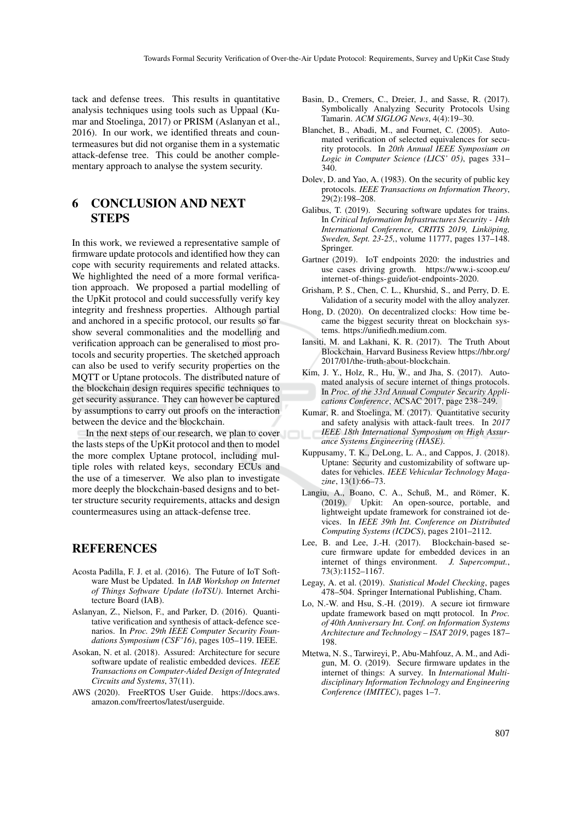tack and defense trees. This results in quantitative analysis techniques using tools such as Uppaal (Kumar and Stoelinga, 2017) or PRISM (Aslanyan et al., 2016). In our work, we identified threats and countermeasures but did not organise them in a systematic attack-defense tree. This could be another complementary approach to analyse the system security.

# 6 CONCLUSION AND NEXT STEPS

In this work, we reviewed a representative sample of firmware update protocols and identified how they can cope with security requirements and related attacks. We highlighted the need of a more formal verification approach. We proposed a partial modelling of the UpKit protocol and could successfully verify key integrity and freshness properties. Although partial and anchored in a specific protocol, our results so far show several commonalities and the modelling and verification approach can be generalised to most protocols and security properties. The sketched approach can also be used to verify security properties on the MQTT or Uptane protocols. The distributed nature of the blockchain design requires specific techniques to get security assurance. They can however be captured by assumptions to carry out proofs on the interaction between the device and the blockchain.

In the next steps of our research, we plan to cover the lasts steps of the UpKit protocol and then to model the more complex Uptane protocol, including multiple roles with related keys, secondary ECUs and the use of a timeserver. We also plan to investigate more deeply the blockchain-based designs and to better structure security requirements, attacks and design countermeasures using an attack-defense tree.

### **REFERENCES**

- Acosta Padilla, F. J. et al. (2016). The Future of IoT Software Must be Updated. In *IAB Workshop on Internet of Things Software Update (IoTSU)*. Internet Architecture Board (IAB).
- Aslanyan, Z., Nielson, F., and Parker, D. (2016). Quantitative verification and synthesis of attack-defence scenarios. In *Proc. 29th IEEE Computer Security Foundations Symposium (CSF'16)*, pages 105–119. IEEE.
- Asokan, N. et al. (2018). Assured: Architecture for secure software update of realistic embedded devices. *IEEE Transactions on Computer-Aided Design of Integrated Circuits and Systems*, 37(11).
- AWS (2020). FreeRTOS User Guide. https://docs.aws. amazon.com/freertos/latest/userguide.
- Basin, D., Cremers, C., Dreier, J., and Sasse, R. (2017). Symbolically Analyzing Security Protocols Using Tamarin. *ACM SIGLOG News*, 4(4):19–30.
- Blanchet, B., Abadi, M., and Fournet, C. (2005). Automated verification of selected equivalences for security protocols. In *20th Annual IEEE Symposium on Logic in Computer Science (LICS' 05)*, pages 331– 340.
- Dolev, D. and Yao, A. (1983). On the security of public key protocols. *IEEE Transactions on Information Theory*, 29(2):198–208.
- Galibus, T. (2019). Securing software updates for trains. In *Critical Information Infrastructures Security - 14th International Conference, CRITIS 2019, Linkoping, ¨ Sweden, Sept. 23-25,*, volume 11777, pages 137–148. Springer.
- Gartner (2019). IoT endpoints 2020: the industries and use cases driving growth. https://www.i-scoop.eu/ internet-of-things-guide/iot-endpoints-2020.
- Grisham, P. S., Chen, C. L., Khurshid, S., and Perry, D. E. Validation of a security model with the alloy analyzer.
- Hong, D. (2020). On decentralized clocks: How time became the biggest security threat on blockchain systems. https://unifiedh.medium.com.
- Iansiti, M. and Lakhani, K. R. (2017). The Truth About Blockchain. Harvard Business Review https://hbr.org/ 2017/01/the-truth-about-blockchain.
- Kim, J. Y., Holz, R., Hu, W., and Jha, S. (2017). Automated analysis of secure internet of things protocols. In *Proc. of the 33rd Annual Computer Security Applications Conference*, ACSAC 2017, page 238–249.
- Kumar, R. and Stoelinga, M. (2017). Quantitative security and safety analysis with attack-fault trees. In *2017 IEEE 18th International Symposium on High Assurance Systems Engineering (HASE)*.
- Kuppusamy, T. K., DeLong, L. A., and Cappos, J. (2018). Uptane: Security and customizability of software updates for vehicles. *IEEE Vehicular Technology Magazine*, 13(1):66–73.
- Langiu, A., Boano, C. A., Schuß, M., and Römer, K. (2019). Upkit: An open-source, portable, and lightweight update framework for constrained iot devices. In *IEEE 39th Int. Conference on Distributed Computing Systems (ICDCS)*, pages 2101–2112.
- Lee, B. and Lee, J.-H. (2017). Blockchain-based secure firmware update for embedded devices in an internet of things environment. *J. Supercomput.*, 73(3):1152–1167.
- Legay, A. et al. (2019). *Statistical Model Checking*, pages 478–504. Springer International Publishing, Cham.
- Lo, N.-W. and Hsu, S.-H. (2019). A secure iot firmware update framework based on mqtt protocol. In *Proc. of 40th Anniversary Int. Conf. on Information Systems Architecture and Technology – ISAT 2019*, pages 187– 198.
- Mtetwa, N. S., Tarwireyi, P., Abu-Mahfouz, A. M., and Adigun, M. O. (2019). Secure firmware updates in the internet of things: A survey. In *International Multidisciplinary Information Technology and Engineering Conference (IMITEC)*, pages 1–7.